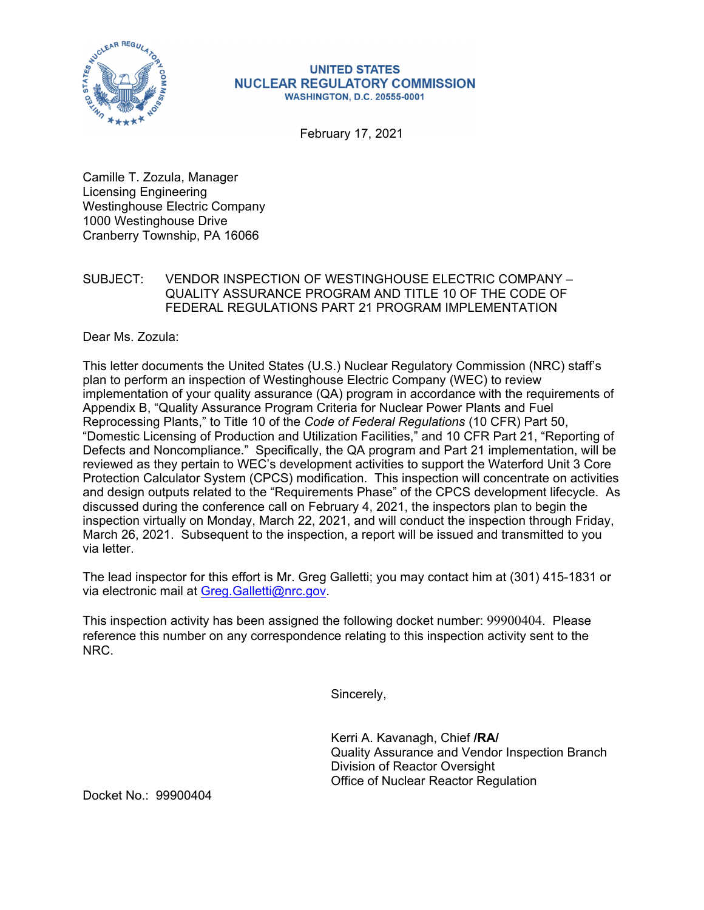

## **UNITED STATES NUCLEAR REGULATORY COMMISSION WASHINGTON, D.C. 20555-0001**

February 17, 2021

Camille T. Zozula, Manager Licensing Engineering Westinghouse Electric Company 1000 Westinghouse Drive Cranberry Township, PA 16066

## SUBJECT: VENDOR INSPECTION OF WESTINGHOUSE ELECTRIC COMPANY – QUALITY ASSURANCE PROGRAM AND TITLE 10 OF THE CODE OF FEDERAL REGULATIONS PART 21 PROGRAM IMPLEMENTATION

Dear Ms. Zozula:

This letter documents the United States (U.S.) Nuclear Regulatory Commission (NRC) staff's plan to perform an inspection of Westinghouse Electric Company (WEC) to review implementation of your quality assurance (QA) program in accordance with the requirements of Appendix B, "Quality Assurance Program Criteria for Nuclear Power Plants and Fuel Reprocessing Plants," to Title 10 of the *Code of Federal Regulations* (10 CFR) Part 50, "Domestic Licensing of Production and Utilization Facilities," and 10 CFR Part 21, "Reporting of Defects and Noncompliance." Specifically, the QA program and Part 21 implementation, will be reviewed as they pertain to WEC's development activities to support the Waterford Unit 3 Core Protection Calculator System (CPCS) modification. This inspection will concentrate on activities and design outputs related to the "Requirements Phase" of the CPCS development lifecycle. As discussed during the conference call on February 4, 2021, the inspectors plan to begin the inspection virtually on Monday, March 22, 2021, and will conduct the inspection through Friday, March 26, 2021. Subsequent to the inspection, a report will be issued and transmitted to you via letter.

The lead inspector for this effort is Mr. Greg Galletti; you may contact him at (301) 415-1831 or via electronic mail at Greg.Galletti@nrc.gov.

This inspection activity has been assigned the following docket number: 99900404. Please reference this number on any correspondence relating to this inspection activity sent to the NRC.

Sincerely,

Kerri A. Kavanagh, Chief **/RA/**  Quality Assurance and Vendor Inspection Branch Division of Reactor Oversight Office of Nuclear Reactor Regulation

Docket No.: 99900404